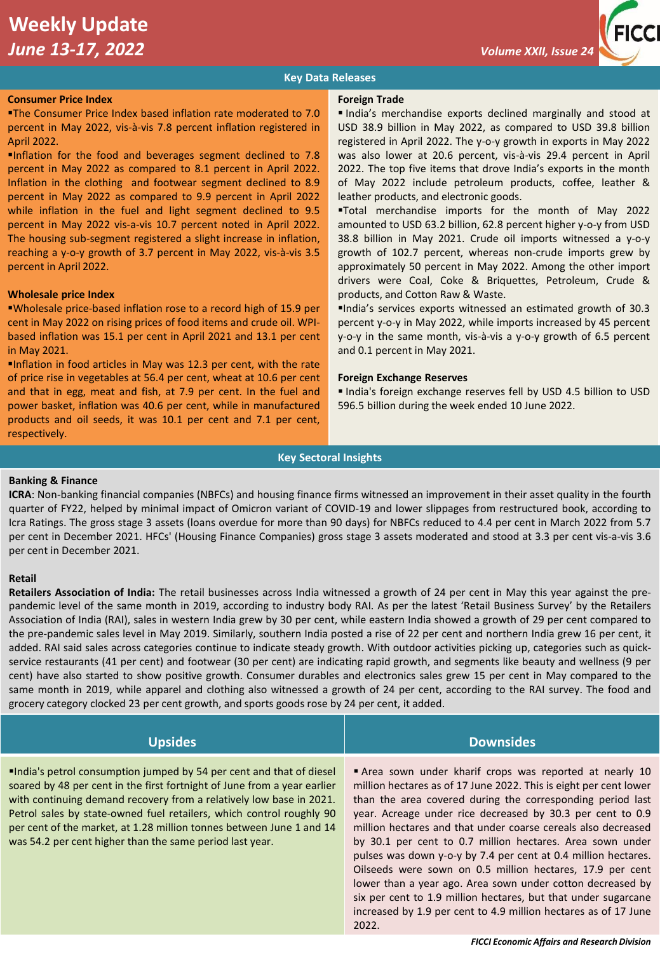# **Weekly Update**  *June 13-17, 2022 Volume XXII, Issue 24* **<b>***Volume XXII, Issue 24 Volume XXII, Issue 24*

## **Key Data Releases**

### **Consumer Price Index**

▪The Consumer Price Index based inflation rate moderated to 7.0 percent in May 2022, vis-à-vis 7.8 percent inflation registered in April 2022.

▪Inflation for the food and beverages segment declined to 7.8 percent in May 2022 as compared to 8.1 percent in April 2022. Inflation in the clothing and footwear segment declined to 8.9 percent in May 2022 as compared to 9.9 percent in April 2022 while inflation in the fuel and light segment declined to 9.5 percent in May 2022 vis-a-vis 10.7 percent noted in April 2022. The housing sub-segment registered a slight increase in inflation, reaching a y-o-y growth of 3.7 percent in May 2022, vis-à-vis 3.5 percent in April 2022.

### **Wholesale price Index**

▪Wholesale price-based inflation rose to a record high of 15.9 per cent in May 2022 on rising prices of food items and crude oil. WPIbased inflation was 15.1 per cent in April 2021 and 13.1 per cent in May 2021.

▪Inflation in food articles in May was 12.3 per cent, with the rate of price rise in vegetables at 56.4 per cent, wheat at 10.6 per cent and that in egg, meat and fish, at 7.9 per cent. In the fuel and power basket, inflation was 40.6 per cent, while in manufactured products and oil seeds, it was 10.1 per cent and 7.1 per cent, respectively.

#### **Foreign Trade**

▪ India's merchandise exports declined marginally and stood at USD 38.9 billion in May 2022, as compared to USD 39.8 billion registered in April 2022. The y-o-y growth in exports in May 2022 was also lower at 20.6 percent, vis-à-vis 29.4 percent in April 2022. The top five items that drove India's exports in the month of May 2022 include petroleum products, coffee, leather & leather products, and electronic goods.

▪Total merchandise imports for the month of May 2022 amounted to USD 63.2 billion, 62.8 percent higher y-o-y from USD 38.8 billion in May 2021. Crude oil imports witnessed a y-o-y growth of 102.7 percent, whereas non-crude imports grew by approximately 50 percent in May 2022. Among the other import drivers were Coal, Coke & Briquettes, Petroleum, Crude & products, and Cotton Raw & Waste.

▪India's services exports witnessed an estimated growth of 30.3 percent y-o-y in May 2022, while imports increased by 45 percent y-o-y in the same month, vis-à-vis a y-o-y growth of 6.5 percent and 0.1 percent in May 2021.

### **Foreign Exchange Reserves**

▪ India's foreign exchange reserves fell by USD 4.5 billion to USD 596.5 billion during the week ended 10 June 2022.

### **Key Sectoral Insights**

### **Banking & Finance**

**ICRA**: Non-banking financial companies (NBFCs) and housing finance firms witnessed an improvement in their asset quality in the fourth quarter of FY22, helped by minimal impact of Omicron variant of COVID-19 and lower slippages from restructured book, according to Icra Ratings. The gross stage 3 assets (loans overdue for more than 90 days) for NBFCs reduced to 4.4 per cent in March 2022 from 5.7 per cent in December 2021. HFCs' (Housing Finance Companies) gross stage 3 assets moderated and stood at 3.3 per cent vis-a-vis 3.6 per cent in December 2021.

### **Retail**

**Retailers Association of India:** The retail businesses across India witnessed a growth of 24 per cent in May this year against the prepandemic level of the same month in 2019, according to industry body RAI. As per the latest 'Retail Business Survey' by the Retailers Association of India (RAI), sales in western India grew by 30 per cent, while eastern India showed a growth of 29 per cent compared to the pre-pandemic sales level in May 2019. Similarly, southern India posted a rise of 22 per cent and northern India grew 16 per cent, it added. RAI said sales across categories continue to indicate steady growth. With outdoor activities picking up, categories such as quickservice restaurants (41 per cent) and footwear (30 per cent) are indicating rapid growth, and segments like beauty and wellness (9 per cent) have also started to show positive growth. Consumer durables and electronics sales grew 15 per cent in May compared to the same month in 2019, while apparel and clothing also witnessed a growth of 24 per cent, according to the RAI survey. The food and grocery category clocked 23 per cent growth, and sports goods rose by 24 per cent, it added.

| <b>Upsides</b>                                                                                                                                                                                                                                                                                                                                                                                                                     | Downsides                                                                                                                                                                                                                                                                                                                                                                                                                                                                                                                                                                                                                                                                                                                        |
|------------------------------------------------------------------------------------------------------------------------------------------------------------------------------------------------------------------------------------------------------------------------------------------------------------------------------------------------------------------------------------------------------------------------------------|----------------------------------------------------------------------------------------------------------------------------------------------------------------------------------------------------------------------------------------------------------------------------------------------------------------------------------------------------------------------------------------------------------------------------------------------------------------------------------------------------------------------------------------------------------------------------------------------------------------------------------------------------------------------------------------------------------------------------------|
| India's petrol consumption jumped by 54 per cent and that of diesel<br>soared by 48 per cent in the first fortnight of June from a year earlier<br>with continuing demand recovery from a relatively low base in 2021.<br>Petrol sales by state-owned fuel retailers, which control roughly 90<br>per cent of the market, at 1.28 million tonnes between June 1 and 14<br>was 54.2 per cent higher than the same period last year. | Area sown under kharif crops was reported at nearly 10<br>million hectares as of 17 June 2022. This is eight per cent lower<br>than the area covered during the corresponding period last<br>year. Acreage under rice decreased by 30.3 per cent to 0.9<br>million hectares and that under coarse cereals also decreased<br>by 30.1 per cent to 0.7 million hectares. Area sown under<br>pulses was down y-o-y by 7.4 per cent at 0.4 million hectares.<br>Oilseeds were sown on 0.5 million hectares, 17.9 per cent<br>lower than a year ago. Area sown under cotton decreased by<br>six per cent to 1.9 million hectares, but that under sugarcane<br>increased by 1.9 per cent to 4.9 million hectares as of 17 June<br>2022. |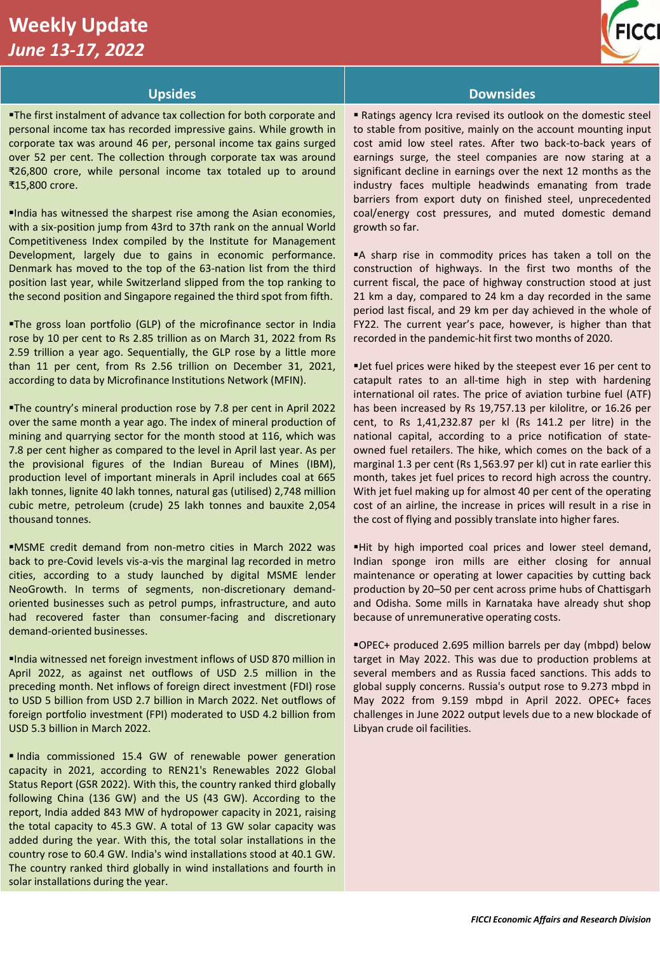# **Weekly Update**  *June 13-17, 2022*



**The first instalment of advance tax collection for both corporate and** personal income tax has recorded impressive gains. While growth in corporate tax was around 46 per, personal income tax gains surged over 52 per cent. The collection through corporate tax was around ₹26,800 crore, while personal income tax totaled up to around ₹15,800 crore.

▪India has witnessed the sharpest rise among the Asian economies, with a six-position jump from 43rd to 37th rank on the annual World Competitiveness Index compiled by the Institute for Management Development, largely due to gains in economic performance. Denmark has moved to the top of the 63-nation list from the third position last year, while Switzerland slipped from the top ranking to the second position and Singapore regained the third spot from fifth.

**The gross loan portfolio (GLP) of the microfinance sector in India** rose by 10 per cent to Rs 2.85 trillion as on March 31, 2022 from Rs 2.59 trillion a year ago. Sequentially, the GLP rose by a little more than 11 per cent, from Rs 2.56 trillion on December 31, 2021, according to data by Microfinance Institutions Network (MFIN).

▪The country's mineral production rose by 7.8 per cent in April 2022 over the same month a year ago. The index of mineral production of mining and quarrying sector for the month stood at 116, which was 7.8 per cent higher as compared to the level in April last year. As per the provisional figures of the Indian Bureau of Mines (IBM), production level of important minerals in April includes coal at 665 lakh tonnes, lignite 40 lakh tonnes, natural gas (utilised) 2,748 million cubic metre, petroleum (crude) 25 lakh tonnes and bauxite 2,054 thousand tonnes.

▪MSME credit demand from non-metro cities in March 2022 was back to pre-Covid levels vis-a-vis the marginal lag recorded in metro cities, according to a study launched by digital MSME lender NeoGrowth. In terms of segments, non-discretionary demandoriented businesses such as petrol pumps, infrastructure, and auto had recovered faster than consumer-facing and discretionary demand-oriented businesses.

▪India witnessed net foreign investment inflows of USD 870 million in April 2022, as against net outflows of USD 2.5 million in the preceding month. Net inflows of foreign direct investment (FDI) rose to USD 5 billion from USD 2.7 billion in March 2022. Net outflows of foreign portfolio investment (FPI) moderated to USD 4.2 billion from USD 5.3 billion in March 2022.

▪ India commissioned 15.4 GW of renewable power generation capacity in 2021, according to REN21's Renewables 2022 Global Status Report (GSR 2022). With this, the country ranked third globally following China (136 GW) and the US (43 GW). According to the report, India added 843 MW of hydropower capacity in 2021, raising the total capacity to 45.3 GW. A total of 13 GW solar capacity was added during the year. With this, the total solar installations in the country rose to 60.4 GW. India's wind installations stood at 40.1 GW. The country ranked third globally in wind installations and fourth in solar installations during the year.

# **Upsides Downsides**

■ Ratings agency Icra revised its outlook on the domestic steel to stable from positive, mainly on the account mounting input cost amid low steel rates. After two back-to-back years of earnings surge, the steel companies are now staring at a significant decline in earnings over the next 12 months as the industry faces multiple headwinds emanating from trade barriers from export duty on finished steel, unprecedented coal/energy cost pressures, and muted domestic demand growth so far.

■A sharp rise in commodity prices has taken a toll on the construction of highways. In the first two months of the current fiscal, the pace of highway construction stood at just 21 km a day, compared to 24 km a day recorded in the same period last fiscal, and 29 km per day achieved in the whole of FY22. The current year's pace, however, is higher than that recorded in the pandemic-hit first two months of 2020.

▪Jet fuel prices were hiked by the steepest ever 16 per cent to catapult rates to an all-time high in step with hardening international oil rates. The price of aviation turbine fuel (ATF) has been increased by Rs 19,757.13 per kilolitre, or 16.26 per cent, to Rs 1,41,232.87 per kl (Rs 141.2 per litre) in the national capital, according to a price notification of stateowned fuel retailers. The hike, which comes on the back of a marginal 1.3 per cent (Rs 1,563.97 per kl) cut in rate earlier this month, takes jet fuel prices to record high across the country. With jet fuel making up for almost 40 per cent of the operating cost of an airline, the increase in prices will result in a rise in the cost of flying and possibly translate into higher fares.

▪Hit by high imported coal prices and lower steel demand, Indian sponge iron mills are either closing for annual maintenance or operating at lower capacities by cutting back production by 20–50 per cent across prime hubs of Chattisgarh and Odisha. Some mills in Karnataka have already shut shop because of unremunerative operating costs.

▪OPEC+ produced 2.695 million barrels per day (mbpd) below target in May 2022. This was due to production problems at several members and as Russia faced sanctions. This adds to global supply concerns. Russia's output rose to 9.273 mbpd in May 2022 from 9.159 mbpd in April 2022. OPEC+ faces challenges in June 2022 output levels due to a new blockade of Libyan crude oil facilities.